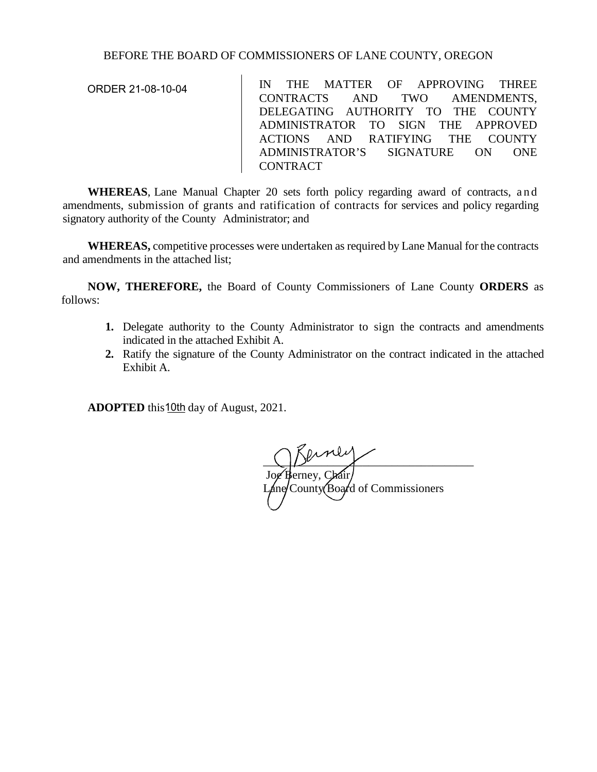## BEFORE THE BOARD OF COMMISSIONERS OF LANE COUNTY, OREGON

ORDER 21-08-10-04

IN THE MATTER OF APPROVING THREE CONTRACTS AND TWO AMENDMENTS, DELEGATING AUTHORITY TO THE COUNTY ADMINISTRATOR TO SIGN THE APPROVED ACTIONS AND RATIFYING THE COUNTY ADMINISTRATOR'S SIGNATURE ON ONE CONTRACT

**WHEREAS**, Lane Manual Chapter 20 sets forth policy regarding award of contracts, and amendments, submission of grants and ratification of contracts for services and policy regarding signatory authority of the County Administrator; and

**WHEREAS,** competitive processes were undertaken as required by Lane Manual for the contracts and amendments in the attached list;

**NOW, THEREFORE,** the Board of County Commissioners of Lane County **ORDERS** as follows:

- **1.** Delegate authority to the County Administrator to sign the contracts and amendments indicated in the attached Exhibit A.
- **2.** Ratify the signature of the County Administrator on the contract indicated in the attached Exhibit A.

**ADOPTED** this 10th day of August, 2021.

 $\bigcup_{i=1}^n V_i$ Joe Berney, Chair/  $\Delta$ ne/County (Board of Commissioners